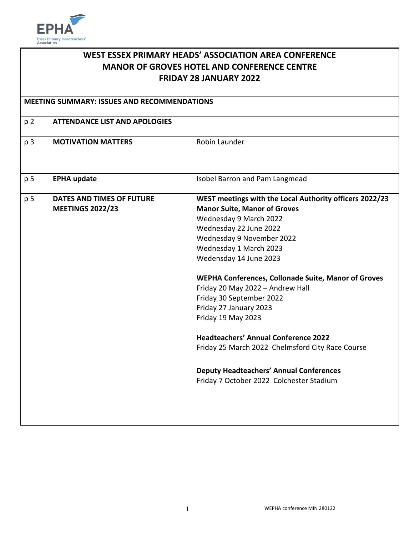

| WEST ESSEX PRIMARY HEADS' ASSOCIATION AREA CONFERENCE                                                                                     |                           |                                                         |                |                                      |  |
|-------------------------------------------------------------------------------------------------------------------------------------------|---------------------------|---------------------------------------------------------|----------------|--------------------------------------|--|
| <b>MANOR OF GROVES HOTEL AND CONFERENCE CENTRE</b><br><b>FRIDAY 28 JANUARY 2022</b><br><b>MEETING SUMMARY: ISSUES AND RECOMMENDATIONS</b> |                           |                                                         |                |                                      |  |
|                                                                                                                                           |                           |                                                         |                |                                      |  |
|                                                                                                                                           |                           |                                                         | p <sub>2</sub> | <b>ATTENDANCE LIST AND APOLOGIES</b> |  |
| p 3                                                                                                                                       | <b>MOTIVATION MATTERS</b> | Robin Launder                                           |                |                                      |  |
|                                                                                                                                           |                           |                                                         |                |                                      |  |
|                                                                                                                                           |                           |                                                         |                |                                      |  |
| p 5                                                                                                                                       | <b>EPHA update</b>        | Isobel Barron and Pam Langmead                          |                |                                      |  |
|                                                                                                                                           |                           |                                                         |                |                                      |  |
| p 5                                                                                                                                       | DATES AND TIMES OF FUTURE | WEST meetings with the Local Authority officers 2022/23 |                |                                      |  |
|                                                                                                                                           | <b>MEETINGS 2022/23</b>   | <b>Manor Suite, Manor of Groves</b>                     |                |                                      |  |
|                                                                                                                                           |                           | Wednesday 9 March 2022                                  |                |                                      |  |
|                                                                                                                                           |                           | Wednesday 22 June 2022                                  |                |                                      |  |
|                                                                                                                                           |                           | Wednesday 9 November 2022                               |                |                                      |  |
|                                                                                                                                           |                           | Wednesday 1 March 2023                                  |                |                                      |  |
|                                                                                                                                           |                           | Wedensday 14 June 2023                                  |                |                                      |  |
|                                                                                                                                           |                           | WEPHA Conferences, Collonade Suite, Manor of Groves     |                |                                      |  |
|                                                                                                                                           |                           | Friday 20 May 2022 - Andrew Hall                        |                |                                      |  |
|                                                                                                                                           |                           | Friday 30 September 2022                                |                |                                      |  |
|                                                                                                                                           |                           | Friday 27 January 2023                                  |                |                                      |  |
|                                                                                                                                           |                           | Friday 19 May 2023                                      |                |                                      |  |
|                                                                                                                                           |                           | <b>Headteachers' Annual Conference 2022</b>             |                |                                      |  |
|                                                                                                                                           |                           | Friday 25 March 2022 Chelmsford City Race Course        |                |                                      |  |
|                                                                                                                                           |                           |                                                         |                |                                      |  |
|                                                                                                                                           |                           | <b>Deputy Headteachers' Annual Conferences</b>          |                |                                      |  |
|                                                                                                                                           |                           | Friday 7 October 2022 Colchester Stadium                |                |                                      |  |
|                                                                                                                                           |                           |                                                         |                |                                      |  |
|                                                                                                                                           |                           |                                                         |                |                                      |  |
|                                                                                                                                           |                           |                                                         |                |                                      |  |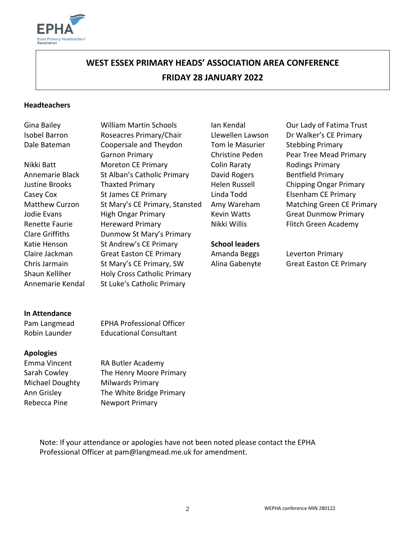

# **WEST ESSEX PRIMARY HEADS' ASSOCIATION AREA CONFERENCE FRIDAY 28 JANUARY 2022**

#### **Headteachers**

Annemarie Kendal St Luke's Catholic Primary

Isobel Barron Roseacres Primary/Chair Llewellen Lawson Dr Walker's CE Primary Dale Bateman Coopersale and Theydon Garnon Primary Nikki Batt Moreton CE Primary Colin Raraty Rodings Primary Annemarie Black St Alban's Catholic Primary David Rogers Bentfield Primary Justine Brooks Thaxted Primary Helen Russell Chipping Ongar Primary Casey Cox St James CE Primary Linda Todd Elsenham CE Primary Matthew Curzon St Mary's CE Primary, Stansted Amy Wareham Matching Green CE Primary Jodie Evans **High Ongar Primary** Kevin Watts Great Dunmow Primary Renette Faurie **Hereward Primary Communist Constructs** Nikki Willis Flitch Green Academy Clare Griffiths Dunmow St Mary's Primary Katie Henson St Andrew's CE Primary **School leaders** Claire Jackman Great Easton CE Primary Amanda Beggs Leverton Primary Chris Jarmain St Mary's CE Primary, SW Alina Gabenyte Great Easton CE Primary Shaun Kelliher Holy Cross Catholic Primary

Tom le Masurier Christine Peden

Gina Bailey **William Martin Schools** Ian Kendal **Industrial Our Lady of Fatima Trust** Stebbing Primary Pear Tree Mead Primary

#### **In Attendance**

Pam Langmead EPHA Professional Officer Robin Launder Educational Consultant

#### **Apologies**

Ann Grisley The White Bridge Primary Rebecca Pine **Newport Primary** 

Emma Vincent RA Butler Academy Sarah Cowley The Henry Moore Primary Michael Doughty Milwards Primary

Note: If your attendance or apologies have not been noted please contact the EPHA Professional Officer at pam@langmead.me.uk for amendment.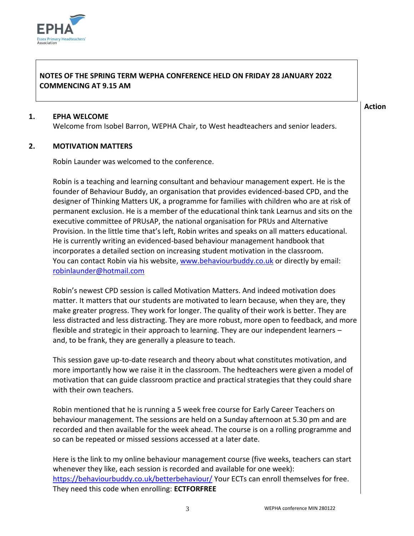

## **NOTES OF THE SPRING TERM WEPHA CONFERENCE HELD ON FRIDAY 28 JANUARY 2022 COMMENCING AT 9.15 AM**

#### **1. EPHA WELCOME**

Welcome from Isobel Barron, WEPHA Chair, to West headteachers and senior leaders.

#### **2. MOTIVATION MATTERS**

Robin Launder was welcomed to the conference.

Robin is a teaching and learning consultant and behaviour management expert. He is the founder of Behaviour Buddy, an organisation that provides evidenced-based CPD, and the designer of Thinking Matters UK, a programme for families with children who are at risk of permanent exclusion. He is a member of the educational think tank Learnus and sits on the executive committee of PRUsAP, the national organisation for PRUs and Alternative Provision. In the little time that's left, Robin writes and speaks on all matters educational. He is currently writing an evidenced-based behaviour management handbook that incorporates a detailed section on increasing student motivation in the classroom. You can contact Robin via his website, [www.behaviourbuddy.co.uk](http://www.behaviourbuddy.co.uk/) or directly by email: [robinlaunder@hotmail.com](mailto:robinlaunder@hotmail.com)

Robin's newest CPD session is called Motivation Matters. And indeed motivation does matter. It matters that our students are motivated to learn because, when they are, they make greater progress. They work for longer. The quality of their work is better. They are less distracted and less distracting. They are more robust, more open to feedback, and more flexible and strategic in their approach to learning. They are our independent learners – and, to be frank, they are generally a pleasure to teach.

This session gave up-to-date research and theory about what constitutes motivation, and more importantly how we raise it in the classroom. The hedteachers were given a model of motivation that can guide classroom practice and practical strategies that they could share with their own teachers.

Robin mentioned that he is running a 5 week free course for Early Career Teachers on behaviour management. The sessions are held on a Sunday afternoon at 5.30 pm and are recorded and then available for the week ahead. The course is on a rolling programme and so can be repeated or missed sessions accessed at a later date.

Here is the link to my online behaviour management course (five weeks, teachers can start whenever they like, each session is recorded and available for one week): <https://behaviourbuddy.co.uk/betterbehaviour/> Your ECTs can enroll themselves for free. They need this code when enrolling: **ECTFORFREE**

**Action**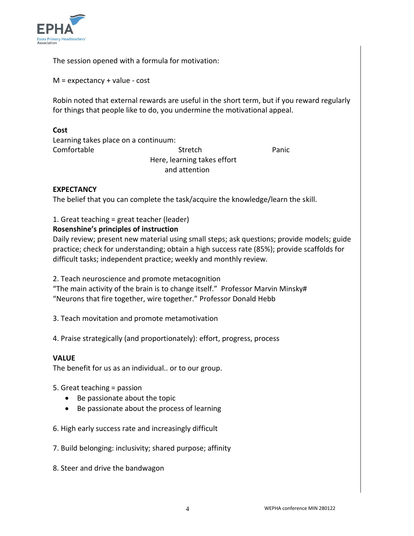

The session opened with a formula for motivation:

 $M =$  expectancy + value - cost

Robin noted that external rewards are useful in the short term, but if you reward regularly for things that people like to do, you undermine the motivational appeal.

#### **Cost**

Learning takes place on a continuum: Comfortable Stretch Panic Here, learning takes effort and attention

## **EXPECTANCY**

The belief that you can complete the task/acquire the knowledge/learn the skill.

1. Great teaching = great teacher (leader)

#### **Rosenshine's principles of instruction**

Daily review; present new material using small steps; ask questions; provide models; guide practice; check for understanding; obtain a high success rate (85%); provide scaffolds for difficult tasks; independent practice; weekly and monthly review.

2. Teach neuroscience and promote metacognition

"The main activity of the brain is to change itself." Professor Marvin Minsky# "Neurons that fire together, wire together." Professor Donald Hebb

3. Teach movitation and promote metamotivation

4. Praise strategically (and proportionately): effort, progress, process

#### **VALUE**

The benefit for us as an individual.. or to our group.

- 5. Great teaching = passion
	- Be passionate about the topic
	- Be passionate about the process of learning
- 6. High early success rate and increasingly difficult
- 7. Build belonging: inclusivity; shared purpose; affinity
- 8. Steer and drive the bandwagon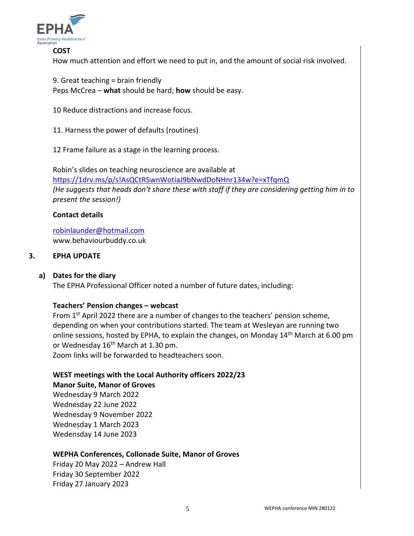

#### **COST**

How much attention and effort we need to put in, and the amount of social risk involved.

9. Great teaching = brain friendly Peps McCrea – **what** should be hard; **how** should be easy.

10 Reduce distractions and increase focus.

11. Harness the power of defaults (routines)

12 Frame failure as a stage in the learning process.

Robin's slides on teaching neuroscience are available at <https://1drv.ms/p/s!AsQCtR5wnWotiaJ9bNwdDoNHnr134w?e=xTfqmQ> *(He suggests that heads don't share these with staff if they are considering getting him in to present the session!)*

#### **Contact details**

[robinlaunder@hotmail.com](mailto:robinlaunder@hotmail.com) www.behaviourbuddy.co.uk

#### **3. EPHA UPDATE**

#### **a) Dates for the diary**

The EPHA Professional Officer noted a number of future dates, including:

#### **Teachers' Pension changes – webcast**

From 1<sup>st</sup> April 2022 there are a number of changes to the teachers' pension scheme, depending on when your contributions started. The team at Wesleyan are running two online sessions, hosted by EPHA, to explain the changes, on Monday 14th March at 6.00 pm or Wednesday 16<sup>th</sup> March at 1.30 pm.

Zoom links will be forwarded to headteachers soon.

#### **WEST meetings with the Local Authority officers 2022/23 Manor Suite, Manor of Groves**

Wednesday 9 March 2022 Wednesday 22 June 2022 Wednesday 9 November 2022 Wednesday 1 March 2023 Wedensday 14 June 2023

#### **WEPHA Conferences, Collonade Suite, Manor of Groves**

Friday 20 May 2022 – Andrew Hall Friday 30 September 2022 Friday 27 January 2023